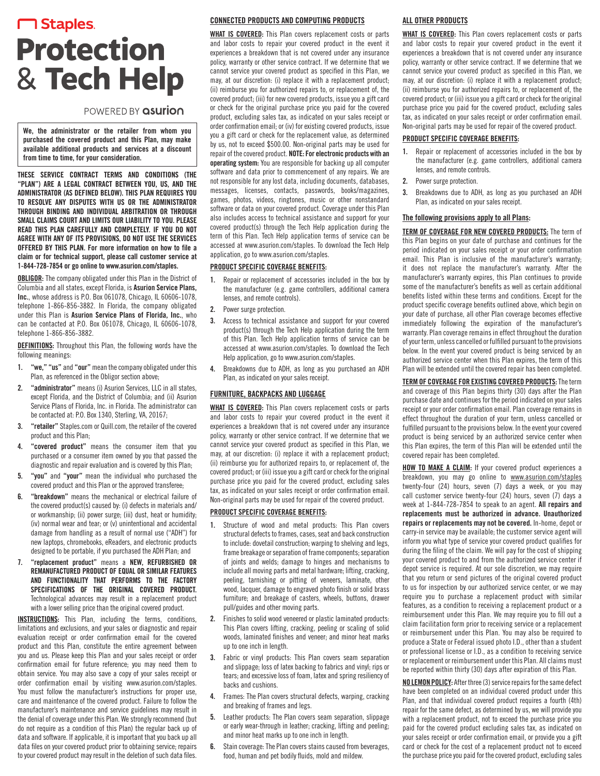# **M** Staples. **Protection** & Tech Help

# POWERED BY asurion

We, the administrator or the retailer from whom you purchased the covered product and this Plan, may make available additional products and services at a discount from time to time, for your consideration.

THESE SERVICE CONTRACT TERMS AND CONDITIONS (THE "PLAN") ARE A LEGAL CONTRACT BETWEEN YOU, US, AND THE ADMINISTRATOR (AS DEFINED BELOW). THIS PLAN REQUIRES YOU TO RESOLVE ANY DISPUTES WITH US OR THE ADMINISTRATOR THROUGH BINDING AND INDIVIDUAL ARBITRATION OR THROUGH SMALL CLAIMS COURT AND LIMITS OUR LIABILITY TO YOU. PLEASE READ THIS PLAN CAREFULLY AND COMPLETELY. IF YOU DO NOT AGREE WITH ANY OF ITS PROVISIONS, DO NOT USE THE SERVICES OFFERED BY THIS PLAN. For more information on how to file a claim or for technical support, please call customer service at 1-844-728-7854 or go online to www.asurion.com/staples.

**OBLIGOR:** The company obligated under this Plan in the District of Columbia and all states, except Florida, is Asurion Service Plans, Inc., whose address is P.O. Box 061078, Chicago, IL 60606-1078, telephone 1-866-856-3882. In Florida, the company obligated under this Plan is Asurion Service Plans of Florida, Inc., who can be contacted at P.O. Box 061078, Chicago, IL 60606-1078, telephone 1-866-856-3882.

DEFINITIONS: Throughout this Plan, the following words have the following meanings:

- 1. "we," "us" and "our" mean the company obligated under this Plan, as referenced in the Obligor section above;
- "administrator" means (i) Asurion Services, LLC in all states, except Florida, and the District of Columbia; and (ii) Asurion Service Plans of Florida, Inc. in Florida. The administrator can be contacted at: P.O. Box 1340, Sterling, VA, 20167;
- 3. "retailer" Staples.com or Quill.com, the retailer of the covered product and this Plan;
- 4. "covered product" means the consumer item that you purchased or a consumer item owned by you that passed the diagnostic and repair evaluation and is covered by this Plan;
- "vou" and "vour" mean the individual who purchased the covered product and this Plan or the approved transferee;
- 6. "breakdown" means the mechanical or electrical failure of the covered product(s) caused by: (i) defects in materials and/ or workmanship; (ii) power surge; (iii) dust, heat or humidity; (iv) normal wear and tear; or (v) unintentional and accidental damage from handling as a result of normal use ("ADH") for new laptops, chromebooks, eReaders, and electronic products designed to be portable, if you purchased the ADH Plan; and
- 7. "replacement product" means a NEW, REFURBISHED OR REMANUFACTURED PRODUCT OF EQUAL OR SIMILAR FEATURES AND FUNCTIONALITY THAT PERFORMS TO THE FACTORY SPECIFICATIONS OF THE ORIGINAL COVERED PRODUCT. Technological advances may result in a replacement product with a lower selling price than the original covered product.

INSTRUCTIONS: This Plan, including the terms, conditions, limitations and exclusions, and your sales or diagnostic and repair evaluation receipt or order confirmation email for the covered product and this Plan, constitute the entire agreement between you and us. Please keep this Plan and your sales receipt or order confirmation email for future reference; you may need them to obtain service. You may also save a copy of your sales receipt or order confirmation email by visiting www.asurion.com/staples. You must follow the manufacturer's instructions for proper use, care and maintenance of the covered product. Failure to follow the manufacturer's maintenance and service guidelines may result in the denial of coverage under this Plan. We strongly recommend (but do not require as a condition of this Plan) the regular back up of data and software. If applicable, it is important that you back up all data files on your covered product prior to obtaining service; repairs to your covered product may result in the deletion of such data files.

#### CONNECTED PRODUCTS AND COMPUTING PRODUCTS

WHAT IS COVERED: This Plan covers replacement costs or parts and labor costs to repair your covered product in the event it experiences a breakdown that is not covered under any insurance policy, warranty or other service contract. If we determine that we cannot service your covered product as specified in this Plan, we may, at our discretion: (i) replace it with a replacement product; (ii) reimburse you for authorized repairs to, or replacement of, the covered product; (iii) for new covered products, issue you a gift card or check for the original purchase price you paid for the covered product, excluding sales tax, as indicated on your sales receipt or order confirmation email; or (iv) for existing covered products, issue you a gift card or check for the replacement value, as determined by us, not to exceed \$500.00. Non-original parts may be used for repair of the covered product. NOTE: For electronic products with an operating system: You are responsible for backing up all computer software and data prior to commencement of any repairs. We are not responsible for any lost data, including documents, databases, messages, licenses, contacts, passwords, books/magazines, games, photos, videos, ringtones, music or other nonstandard software or data on your covered product. Coverage under this Plan also includes access to technical assistance and support for your covered product(s) through the Tech Help application during the term of this Plan. Tech Help application terms of service can be accessed at www.asurion.com/staples. To download the Tech Help application, go to www.asurion.com/staples.

# PRODUCT SPECIFIC COVERAGE BENEFITS:

- 1. Repair or replacement of accessories included in the box by the manufacturer (e.g. game controllers, additional camera lenses, and remote controls).
- 2. Power surge protection.
- 3. Access to technical assistance and support for your covered product(s) through the Tech Help application during the term of this Plan. Tech Help application terms of service can be accessed at www.asurion.com/staples. To download the Tech Help application, go to www.asurion.com/staples.
- 4. Breakdowns due to ADH, as long as you purchased an ADH Plan, as indicated on your sales receipt.

# FURNITURE, BACKPACKS AND LUGGAGE

WHAT IS COVERED: This Plan covers replacement costs or parts and labor costs to repair your covered product in the event it experiences a breakdown that is not covered under any insurance policy, warranty or other service contract. If we determine that we cannot service your covered product as specified in this Plan, we may, at our discretion: (i) replace it with a replacement product; (ii) reimburse you for authorized repairs to, or replacement of, the covered product; or (iii) issue you a gift card or check for the original purchase price you paid for the covered product, excluding sales tax, as indicated on your sales receipt or order confirmation email. Non-original parts may be used for repair of the covered product.

#### PRODUCT SPECIFIC COVERAGE BENEFITS:

- 1. Structure of wood and metal products: This Plan covers structural defects to frames, cases, seat and back construction to include: dovetail construction; warping to shelving and legs, frame breakage or separation of frame components; separation of joints and welds; damage to hinges and mechanisms to include all moving parts and metal hardware; lifting, cracking, peeling, tarnishing or pitting of veneers, laminate, other wood, lacquer, damage to engraved photo finish or solid brass furniture; and breakage of casters, wheels, buttons, drawer pull/guides and other moving parts.
- 2. Finishes to solid wood veneered or plastic laminated products: This Plan covers lifting, cracking, peeling or scaling of solid woods, laminated finishes and veneer; and minor heat marks up to one inch in length.
- 3. Fabric or vinyl products: This Plan covers seam separation and slippage; loss of latex backing to fabrics and vinyl; rips or tears; and excessive loss of foam, latex and spring resiliency of backs and cushions.
- 4. Frames: The Plan covers structural defects, warping, cracking and breaking of frames and legs.
- 5. Leather products: The Plan covers seam separation, slippage or early wear-through in leather; cracking, lifting and peeling; and minor heat marks up to one inch in length.
- 6. Stain coverage: The Plan covers stains caused from beverages, food, human and pet bodily fluids, mold and mildew.

# ALL OTHER PRODUCTS

WHAT IS COVERED: This Plan covers replacement costs or parts and labor costs to repair your covered product in the event it experiences a breakdown that is not covered under any insurance policy, warranty or other service contract. If we determine that we cannot service your covered product as specified in this Plan, we may, at our discretion: (i) replace it with a replacement product; (ii) reimburse you for authorized repairs to, or replacement of, the covered product; or (iii) issue you a gift card or check for the original purchase price you paid for the covered product, excluding sales tax, as indicated on your sales receipt or order confirmation email. Non-original parts may be used for repair of the covered product.

#### PRODUCT SPECIFIC COVERAGE BENEFITS:

- 1. Repair or replacement of accessories included in the box by the manufacturer (e.g. game controllers, additional camera lenses, and remote controls.
- 2. Power surge protection.
- 3. Breakdowns due to ADH, as long as you purchased an ADH Plan, as indicated on your sales receipt.

#### The following provisions apply to all Plans:

**TERM OF COVERAGE FOR NEW COVERED PRODUCTS:** The term of this Plan begins on your date of purchase and continues for the period indicated on your sales receipt or your order confirmation email. This Plan is inclusive of the manufacturer's warranty; it does not replace the manufacturer's warranty. After the manufacturer's warranty expires, this Plan continues to provide some of the manufacturer's benefits as well as certain additional benefits listed within these terms and conditions. Except for the product specific coverage benefits outlined above, which begin on your date of purchase, all other Plan coverage becomes effective immediately following the expiration of the manufacturer's warranty. Plan coverage remains in effect throughout the duration of your term, unless cancelled or fulfilled pursuant to the provisions below. In the event your covered product is being serviced by an authorized service center when this Plan expires, the term of this Plan will be extended until the covered repair has been completed.

**TERM OF COVERAGE FOR EXISTING COVERED PRODUCTS:** The term and coverage of this Plan begins thirty (30) days after the Plan purchase date and continues for the period indicated on your sales receipt or your order confirmation email. Plan coverage remains in effect throughout the duration of your term, unless cancelled or fulfilled pursuant to the provisions below. In the event your covered product is being serviced by an authorized service center when this Plan expires, the term of this Plan will be extended until the covered repair has been completed.

**HOW TO MAKE A CLAIM:** If your covered product experiences a breakdown, you may go online to www.asurion.com/staples twenty-four (24) hours, seven (7) days a week, or you may call customer service twenty-four (24) hours, seven (7) days a week at 1-844-728-7854 to speak to an agent. All repairs and replacements must be authorized in advance. Unauthorized repairs or replacements may not be covered. In-home, depot or carry-in service may be available; the customer service agent will inform you what type of service your covered product qualifies for during the filing of the claim. We will pay for the cost of shipping your covered product to and from the authorized service center if depot service is required. At our sole discretion, we may require that you return or send pictures of the original covered product to us for inspection by our authorized service center, or we may require you to purchase a replacement product with similar features, as a condition to receiving a replacement product or a reimbursement under this Plan. We may require you to fill out a claim facilitation form prior to receiving service or a replacement or reimbursement under this Plan. You may also be required to produce a State or Federal issued photo I.D., other than a student or professional license or I.D., as a condition to receiving service or replacement or reimbursement under this Plan. All claims must be reported within thirty (30) days after expiration of this Plan.

NO LEMON POLICY: After three (3) service repairs for the same defect have been completed on an individual covered product under this Plan, and that individual covered product requires a fourth (4th) repair for the same defect, as determined by us, we will provide you with a replacement product, not to exceed the purchase price you paid for the covered product excluding sales tax, as indicated on your sales receipt or order confirmation email, or provide you a gift card or check for the cost of a replacement product not to exceed the purchase price you paid for the covered product, excluding sales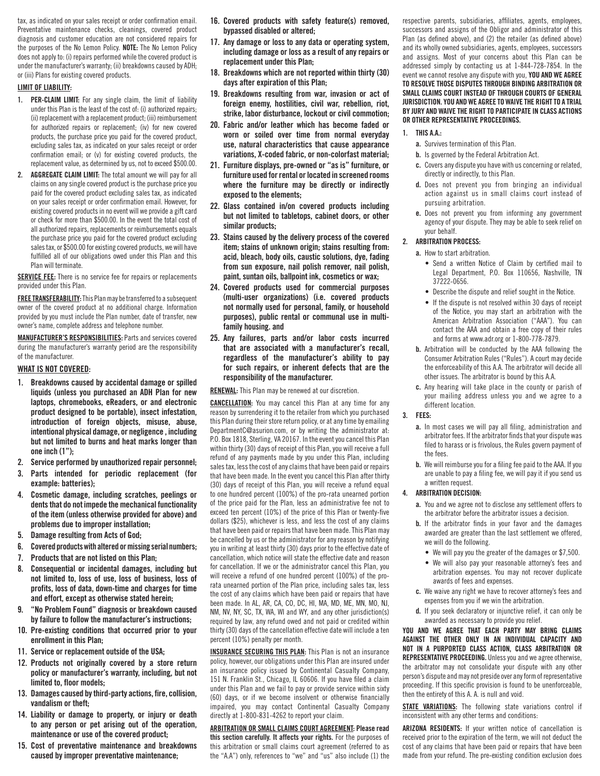tax, as indicated on your sales receipt or order confirmation email. Preventative maintenance checks, cleanings, covered product diagnosis and customer education are not considered repairs for the purposes of the No Lemon Policy. NOTE: The No Lemon Policy does not apply to: (i) repairs performed while the covered product is under the manufacturer's warranty; (ii) breakdowns caused by ADH; or (iii) Plans for existing covered products.

#### LIMIT OF LIABILITY:

- 1. **PER-CLAIM LIMIT:** For any single claim, the limit of liability under this Plan is the least of the cost of: (i) authorized repairs; (ii) replacement with a replacement product; (iii) reimbursement for authorized repairs or replacement; (iv) for new covered products, the purchase price you paid for the covered product, excluding sales tax, as indicated on your sales receipt or order confirmation email; or (v) for existing covered products, the replacement value, as determined by us, not to exceed \$500.00.
- 2. AGGREGATE CLAIM LIMIT: The total amount we will pay for all claims on any single covered product is the purchase price you paid for the covered product excluding sales tax, as indicated on your sales receipt or order confirmation email. However, for existing covered products in no event will we provide a gift card or check for more than \$500.00. In the event the total cost of all authorized repairs, replacements or reimbursements equals the purchase price you paid for the covered product excluding sales tax, or \$500.00 for existing covered products, we will have fulfilled all of our obligations owed under this Plan and this Plan will terminate.

SERVICE FEE: There is no service fee for repairs or replacements provided under this Plan.

FREE TRANSFERABILITY: This Plan may be transferred to a subsequent owner of the covered product at no additional charge. Information provided by you must include the Plan number, date of transfer, new owner's name, complete address and telephone number.

MANUFACTURER'S RESPONSIBILITIES: Parts and services covered during the manufacturer's warranty period are the responsibility of the manufacturer.

#### WHAT IS NOT COVERED:

- 1. Breakdowns caused by accidental damage or spilled liquids (unless you purchased an ADH Plan for new laptops, chromebooks, eReaders, or and electronic product designed to be portable), insect infestation, introduction of foreign objects, misuse, abuse, intentional physical damage, or negligence , including but not limited to burns and heat marks longer than one inch (1");
- 2. Service performed by unauthorized repair personnel;
- 3. Parts intended for periodic replacement (for example: batteries);
- 4. Cosmetic damage, including scratches, peelings or dents that do not impede the mechanical functionality of the item (unless otherwise provided for above) and problems due to improper installation;
- 5. Damage resulting from Acts of God;
- 6. Covered products with altered or missing serial numbers;
- 7. Products that are not listed on this Plan;
- Consequential or incidental damages, including but not limited to, loss of use, loss of business, loss of profits, loss of data, down-time and charges for time and effort, except as otherwise stated herein;
- 9. "No Problem Found" diagnosis or breakdown caused by failure to follow the manufacturer's instructions;
- 10. Pre-existing conditions that occurred prior to your enrollment in this Plan;
- 11. Service or replacement outside of the USA;
- 12. Products not originally covered by a store return policy or manufacturer's warranty, including, but not limited to, floor models;
- 13. Damages caused by third-party actions, fire, collision, vandalism or theft;
- 14. Liability or damage to property, or injury or death to any person or pet arising out of the operation, maintenance or use of the covered product;
- 15. Cost of preventative maintenance and breakdowns caused by improper preventative maintenance;
- 16. Covered products with safety feature(s) removed, bypassed disabled or altered;
- 17. Any damage or loss to any data or operating system, including damage or loss as a result of any repairs or replacement under this Plan;
- 18. Breakdowns which are not reported within thirty (30) days after expiration of this Plan;
- 19. Breakdowns resulting from war, invasion or act of foreign enemy, hostilities, civil war, rebellion, riot, strike, labor disturbance, lockout or civil commotion;
- 20. Fabric and/or leather which has become faded or worn or soiled over time from normal everyday use, natural characteristics that cause appearance variations, X-coded fabric, or non-colorfast material;
- 21. Furniture displays, pre-owned or "as is" furniture, or furniture used for rental or located in screened rooms where the furniture may be directly or indirectly exposed to the elements;
- 22. Glass contained in/on covered products including but not limited to tabletops, cabinet doors, or other similar products;
- 23. Stains caused by the delivery process of the covered item; stains of unknown origin; stains resulting from: acid, bleach, body oils, caustic solutions, dye, fading from sun exposure, nail polish remover, nail polish, paint, suntan oils, ballpoint ink, cosmetics or wax;
- 24. Covered products used for commercial purposes (multi-user organizations) (i.e. covered products not normally used for personal, family, or household purposes), public rental or communal use in multifamily housing. and
- 25. Any failures, parts and/or labor costs incurred that are associated with a manufacturer's recall, regardless of the manufacturer's ability to pay for such repairs, or inherent defects that are the responsibility of the manufacturer.

RENEWAL: This Plan may be renewed at our discretion.

CANCELLATION: You may cancel this Plan at any time for any reason by surrendering it to the retailer from which you purchased this Plan during their store return policy, or at any time by emailing DepartmentC@asurion.com, or by writing the administrator at: P.O. Box 1818, Sterling, VA 20167. In the event you cancel this Plan within thirty (30) days of receipt of this Plan, you will receive a full refund of any payments made by you under this Plan, including sales tax, less the cost of any claims that have been paid or repairs that have been made. In the event you cancel this Plan after thirty (30) days of receipt of this Plan, you will receive a refund equal to one hundred percent (100%) of the pro-rata unearned portion of the price paid for the Plan, less an administrative fee not to exceed ten percent (10%) of the price of this Plan or twenty-five dollars (\$25), whichever is less, and less the cost of any claims that have been paid or repairs that have been made. This Plan may be cancelled by us or the administrator for any reason by notifying you in writing at least thirty (30) days prior to the effective date of cancellation, which notice will state the effective date and reason for cancellation. If we or the administrator cancel this Plan, you will receive a refund of one hundred percent (100%) of the prorata unearned portion of the Plan price, including sales tax, less the cost of any claims which have been paid or repairs that have been made. In AL, AR, CA, CO, DC, HI, MA, MD, ME, MN, MO, NJ, NM, NV, NY, SC, TX, WA, WI and WY, and any other jurisdiction(s) required by law, any refund owed and not paid or credited within thirty (30) days of the cancellation effective date will include a ten percent (10%) penalty per month.

INSURANCE SECURING THIS PLAN: This Plan is not an insurance policy, however, our obligations under this Plan are insured under an insurance policy issued by Continental Casualty Company, 151 N. Franklin St., Chicago, IL 60606. If you have filed a claim under this Plan and we fail to pay or provide service within sixty (60) days, or if we become insolvent or otherwise financially impaired, you may contact Continental Casualty Company directly at 1-800-831-4262 to report your claim.

ARBITRATION OR SMALL CLAIMS COURT AGREEMENT: Please read this section carefully. It affects your rights. For the purposes of this arbitration or small claims court agreement (referred to as the "A.A") only, references to "we" and "us" also include (1) the

respective parents, subsidiaries, affiliates, agents, employees, successors and assigns of the Obligor and administrator of this Plan (as defined above), and (2) the retailer (as defined above) and its wholly owned subsidiaries, agents, employees, successors and assigns. Most of your concerns about this Plan can be addressed simply by contacting us at 1-844-728-7854. In the event we cannot resolve any dispute with you, YOU AND WE AGREE TO RESOLVE THOSE DISPUTES THROUGH BINDING ARBITRATION OR SMALL CLAIMS COURT INSTEAD OF THROUGH COURTS OF GENERAL JURISDICTION. YOU AND WE AGREE TO WAIVE THE RIGHT TO A TRIAL BY JURY AND WAIVE THE RIGHT TO PARTICIPATE IN CLASS ACTIONS OR OTHER REPRESENTATIVE PROCEEDINGS.

#### 1. THIS A.A.:

- a. Survives termination of this Plan.
- b. Is governed by the Federal Arbitration Act.
- c. Covers any dispute you have with us concerning or related, directly or indirectly, to this Plan.
- d. Does not prevent you from bringing an individual action against us in small claims court instead of pursuing arbitration.
- e. Does not prevent you from informing any government agency of your dispute. They may be able to seek relief on your behalf.

#### 2. ARBITRATION PROCESS:

- a. How to start arbitration.
	- Send a written Notice of Claim by certified mail to Legal Department, P.O. Box 110656, Nashville, TN 37222-0656.
	- Describe the dispute and relief sought in the Notice.
	- If the dispute is not resolved within 30 days of receipt of the Notice, you may start an arbitration with the American Arbitration Association ("AAA"). You can contact the AAA and obtain a free copy of their rules and forms at www.adr.org or 1-800-778-7879.
- b. Arbitration will be conducted by the AAA following the Consumer Arbitration Rules ("Rules"). A court may decide the enforceability of this A.A. The arbitrator will decide all other issues. The arbitrator is bound by this A.A.
- c. Any hearing will take place in the county or parish of your mailing address unless you and we agree to a different location.

## 3. FEES:

- a. In most cases we will pay all filing, administration and arbitrator fees. If the arbitrator finds that your dispute was filed to harass or is frivolous, the Rules govern payment of the fees.
- b. We will reimburse you for a filing fee paid to the AAA. If you are unable to pay a filing fee, we will pay it if you send us a written request.

#### 4. ARBITRATION DECISION:

- a. You and we agree not to disclose any settlement offers to the arbitrator before the arbitrator issues a decision.
- b. If the arbitrator finds in your favor and the damages awarded are greater than the last settlement we offered, we will do the following.
	- We will pay you the greater of the damages or \$7,500.
	- We will also pay your reasonable attorney's fees and arbitration expenses. You may not recover duplicate awards of fees and expenses.
- c. We waive any right we have to recover attorney's fees and expenses from you if we win the arbitration.
- d. If you seek declaratory or injunctive relief, it can only be awarded as necessary to provide you relief.

YOU AND WE AGREE THAT EACH PARTY MAY BRING CLAIMS AGAINST THE OTHER ONLY IN AN INDIVIDUAL CAPACITY AND NOT IN A PURPORTED CLASS ACTION, CLASS ARBITRATION OR REPRESENTATIVE PROCEEDING. Unless you and we agree otherwise, the arbitrator may not consolidate your dispute with any other person's dispute and may not preside over any form of representative proceeding. If this specific provision is found to be unenforceable, then the entirety of this A. A. is null and void.

STATE VARIATIONS: The following state variations control if inconsistent with any other terms and conditions:

ARIZONA RESIDENTS: If your written notice of cancellation is received prior to the expiration of the term, we will not deduct the cost of any claims that have been paid or repairs that have been made from your refund. The pre-existing condition exclusion does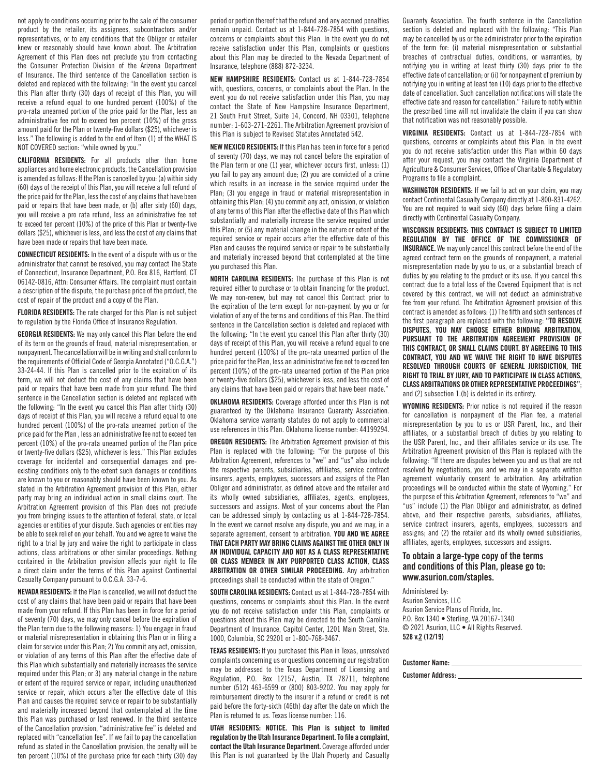not apply to conditions occurring prior to the sale of the consumer product by the retailer, its assignees, subcontractors and/or representatives, or to any conditions that the Obligor or retailer knew or reasonably should have known about. The Arbitration Agreement of this Plan does not preclude you from contacting the Consumer Protection Division of the Arizona Department of Insurance. The third sentence of the Cancellation section is deleted and replaced with the following: "In the event you cancel this Plan after thirty (30) days of receipt of this Plan, you will receive a refund equal to one hundred percent (100%) of the pro-rata unearned portion of the price paid for the Plan, less an administrative fee not to exceed ten percent (10%) of the gross amount paid for the Plan or twenty-five dollars (\$25), whichever is less." The following is added to the end of Item (1) of the WHAT IS NOT COVERED section: "while owned by you."

CALIFORNIA RESIDENTS: For all products other than home appliances and home electronic products, the Cancellation provision is amended as follows: If the Plan is cancelled by you: (a) within sixty (60) days of the receipt of this Plan, you will receive a full refund of the price paid for the Plan, less the cost of any claims that have been paid or repairs that have been made, or (b) after sixty (60) days, you will receive a pro rata refund, less an administrative fee not to exceed ten percent (10%) of the price of this Plan or twenty-five dollars (\$25), whichever is less, and less the cost of any claims that have been made or repairs that have been made.

CONNECTICUT RESIDENTS: In the event of a dispute with us or the administrator that cannot be resolved, you may contact The State of Connecticut, Insurance Department, P.O. Box 816, Hartford, CT 06142-0816, Attn: Consumer Affairs. The complaint must contain a description of the dispute, the purchase price of the product, the cost of repair of the product and a copy of the Plan.

FLORIDA RESIDENTS: The rate charged for this Plan is not subject to regulation by the Florida Office of Insurance Regulation.

**GEORGIA RESIDENTS:** We may only cancel this Plan before the end of its term on the grounds of fraud, material misrepresentation, or nonpayment. The cancellation will be in writing and shall conform to the requirements of Official Code of Georgia Annotated ("O.C.G.A.") 33-24-44. If this Plan is cancelled prior to the expiration of its term, we will not deduct the cost of any claims that have been paid or repairs that have been made from your refund. The third sentence in the Cancellation section is deleted and replaced with the following: "In the event you cancel this Plan after thirty (30) days of receipt of this Plan, you will receive a refund equal to one hundred percent (100%) of the pro-rata unearned portion of the price paid for the Plan , less an administrative fee not to exceed ten percent (10%) of the pro-rata unearned portion of the Plan price or twenty-five dollars (\$25), whichever is less." This Plan excludes coverage for incidental and consequential damages and preexisting conditions only to the extent such damages or conditions are known to you or reasonably should have been known to you. As stated in the Arbitration Agreement provision of this Plan, either party may bring an individual action in small claims court. The Arbitration Agreement provision of this Plan does not preclude you from bringing issues to the attention of federal, state, or local agencies or entities of your dispute. Such agencies or entities may be able to seek relief on your behalf. You and we agree to waive the right to a trial by jury and waive the right to participate in class actions, class arbitrations or other similar proceedings. Nothing contained in the Arbitration provision affects your right to file a direct claim under the terms of this Plan against Continental Casualty Company pursuant to O.C.G.A. 33-7-6.

NEVADA RESIDENTS: If the Plan is cancelled, we will not deduct the cost of any claims that have been paid or repairs that have been made from your refund. If this Plan has been in force for a period of seventy (70) days, we may only cancel before the expiration of the Plan term due to the following reasons: 1) You engage in fraud or material misrepresentation in obtaining this Plan or in filing a claim for service under this Plan; 2) You commit any act, omission, or violation of any terms of this Plan after the effective date of this Plan which substantially and materially increases the service required under this Plan; or 3) any material change in the nature or extent of the required service or repair, including unauthorized service or repair, which occurs after the effective date of this Plan and causes the required service or repair to be substantially and materially increased beyond that contemplated at the time this Plan was purchased or last renewed. In the third sentence of the Cancellation provision, "administrative fee" is deleted and replaced with "cancellation fee". If we fail to pay the cancellation refund as stated in the Cancellation provision, the penalty will be ten percent (10%) of the purchase price for each thirty (30) day

period or portion thereof that the refund and any accrued penalties remain unpaid. Contact us at 1-844-728-7854 with questions, concerns or complaints about this Plan. In the event you do not receive satisfaction under this Plan, complaints or questions about this Plan may be directed to the Nevada Department of Insurance, telephone (888) 872-3234.

NEW HAMPSHIRE RESIDENTS: Contact us at 1-844-728-7854 with, questions, concerns, or complaints about the Plan. In the event you do not receive satisfaction under this Plan, you may contact the State of New Hampshire Insurance Department, 21 South Fruit Street, Suite 14, Concord, NH 03301, telephone number: 1-603-271-2261. The Arbitration Agreement provision of this Plan is subject to Revised Statutes Annotated 542.

NEW MEXICO RESIDENTS: If this Plan has been in force for a period of seventy (70) days, we may not cancel before the expiration of the Plan term or one (1) year, whichever occurs first, unless: (1) you fail to pay any amount due; (2) you are convicted of a crime which results in an increase in the service required under the Plan; (3) you engage in fraud or material misrepresentation in obtaining this Plan; (4) you commit any act, omission, or violation of any terms of this Plan after the effective date of this Plan which substantially and materially increase the service required under this Plan; or (5) any material change in the nature or extent of the required service or repair occurs after the effective date of this Plan and causes the required service or repair to be substantially and materially increased beyond that contemplated at the time you purchased this Plan.

NORTH CAROLINA RESIDENTS: The purchase of this Plan is not required either to purchase or to obtain financing for the product. We may non-renew, but may not cancel this Contract prior to the expiration of the term except for non-payment by you or for violation of any of the terms and conditions of this Plan. The third sentence in the Cancellation section is deleted and replaced with the following: "In the event you cancel this Plan after thirty (30) days of receipt of this Plan, you will receive a refund equal to one hundred percent (100%) of the pro-rata unearned portion of the price paid for the Plan, less an administrative fee not to exceed ten percent (10%) of the pro-rata unearned portion of the Plan price or twenty-five dollars (\$25), whichever is less, and less the cost of any claims that have been paid or repairs that have been made."

OKLAHOMA RESIDENTS: Coverage afforded under this Plan is not guaranteed by the Oklahoma Insurance Guaranty Association. Oklahoma service warranty statutes do not apply to commercial use references in this Plan. Oklahoma license number: 44199294.

OREGON RESIDENTS: The Arbitration Agreement provision of this Plan is replaced with the following: "For the purpose of this Arbitration Agreement, references to "we" and "us" also include the respective parents, subsidiaries, affiliates, service contract insurers, agents, employees, successors and assigns of the Plan Obligor and administrator, as defined above and the retailer and its wholly owned subsidiaries, affiliates, agents, employees, successors and assigns. Most of your concerns about the Plan can be addressed simply by contacting us at 1-844-728-7854. In the event we cannot resolve any dispute, you and we may, in a separate agreement, consent to arbitration. YOU AND WE AGREE THAT EACH PARTY MAY BRING CLAIMS AGAINST THE OTHER ONLY IN AN INDIVIDUAL CAPACITY AND NOT AS A CLASS REPRESENTATIVE OR CLASS MEMBER IN ANY PURPORTED CLASS ACTION, CLASS ARBITRATION OR OTHER SIMILAR PROCEEDING. Any arbitration proceedings shall be conducted within the state of Oregon."

SOUTH CAROLINA RESIDENTS: Contact us at 1-844-728-7854 with questions, concerns or complaints about this Plan. In the event you do not receive satisfaction under this Plan, complaints or questions about this Plan may be directed to the South Carolina Department of Insurance, Capitol Center, 1201 Main Street, Ste. 1000, Columbia, SC 29201 or 1-800-768-3467.

TEXAS RESIDENTS: If you purchased this Plan in Texas, unresolved complaints concerning us or questions concerning our registration may be addressed to the Texas Department of Licensing and Regulation, P.O. Box 12157, Austin, TX 78711, telephone number (512) 463-6599 or (800) 803-9202. You may apply for reimbursement directly to the insurer if a refund or credit is not paid before the forty-sixth (46th) day after the date on which the Plan is returned to us. Texas license number: 116.

UTAH RESIDENTS: NOTICE. This Plan is subject to limited regulation by the Utah Insurance Department. To file a complaint, contact the Utah Insurance Department. Coverage afforded under this Plan is not guaranteed by the Utah Property and Casualty Guaranty Association. The fourth sentence in the Cancellation section is deleted and replaced with the following: "This Plan may be cancelled by us or the administrator prior to the expiration of the term for: (i) material misrepresentation or substantial breaches of contractual duties, conditions, or warranties, by notifying you in writing at least thirty (30) days prior to the effective date of cancellation; or (ii) for nonpayment of premium by notifying you in writing at least ten (10) days prior to the effective date of cancellation. Such cancellation notifications will state the effective date and reason for cancellation." Failure to notify within the prescribed time will not invalidate the claim if you can show that notification was not reasonably possible.

VIRGINIA RESIDENTS: Contact us at 1-844-728-7854 with questions, concerns or complaints about this Plan. In the event you do not receive satisfaction under this Plan within 60 days after your request, you may contact the Virginia Department of Agriculture & Consumer Services, Office of Charitable & Regulatory Programs to file a complaint.

WASHINGTON RESIDENTS: If we fail to act on your claim, you may contact Continental Casualty Company directly at 1-800-831-4262. You are not required to wait sixty (60) days before filing a claim directly with Continental Casualty Company.

WISCONSIN RESIDENTS: THIS CONTRACT IS SUBJECT TO LIMITED REGULATION BY THE OFFICE OF THE COMMISSIONER OF INSURANCE. We may only cancel this contract before the end of the agreed contract term on the grounds of nonpayment, a material misrepresentation made by you to us, or a substantial breach of duties by you relating to the product or its use. If you cancel this contract due to a total loss of the Covered Equipment that is not covered by this contract, we will not deduct an administrative fee from your refund. The Arbitration Agreement provision of this contract is amended as follows: (1) The fifth and sixth sentences of the first paragraph are replaced with the following: "TO RESOLVE DISPUTES, YOU MAY CHOOSE EITHER BINDING ARBITRATION, PURSUANT TO THE ARBITRATION AGREEMENT PROVISION OF THIS CONTRACT, OR SMALL CLAIMS COURT. BY AGREEING TO THIS CONTRACT, YOU AND WE WAIVE THE RIGHT TO HAVE DISPUTES RESOLVED THROUGH COURTS OF GENERAL JURISDICTION, THE RIGHT TO TRIAL BY JURY, AND TO PARTICIPATE IN CLASS ACTIONS, CLASS ARBITRATIONS OR OTHER REPRESENTATIVE PROCEEDINGS"; and (2) subsection 1.(b) is deleted in its entirety.

WYOMING RESIDENTS: Prior notice is not required if the reason for cancellation is nonpayment of the Plan fee, a material misrepresentation by you to us or USR Parent, Inc., and their affiliates, or a substantial breach of duties by you relating to the USR Parent, Inc., and their affiliates service or its use. The Arbitration Agreement provision of this Plan is replaced with the following: "If there are disputes between you and us that are not resolved by negotiations, you and we may in a separate written agreement voluntarily consent to arbitration. Any arbitration proceedings will be conducted within the state of Wyoming." For the purpose of this Arbitration Agreement, references to "we" and "us" include (1) the Plan Obligor and administrator, as defined above, and their respective parents, subsidiaries, affiliates, service contract insurers, agents, employees, successors and assigns; and (2) the retailer and its wholly owned subsidiaries, affiliates, agents, employees, successors and assigns.

# To obtain a large-type copy of the terms and conditions of this Plan, please go to: www.asurion.com/staples.

Administered by: Asurion Services, LLC Asurion Service Plans of Florida, Inc. P.O. Box 1340 • Sterling, VA 20167-1340 © 2021 Asurion, LLC • All Rights Reserved. 528 v.2 (12/19)

| <b>Customer Name:</b>    |  |
|--------------------------|--|
| <b>Customer Address:</b> |  |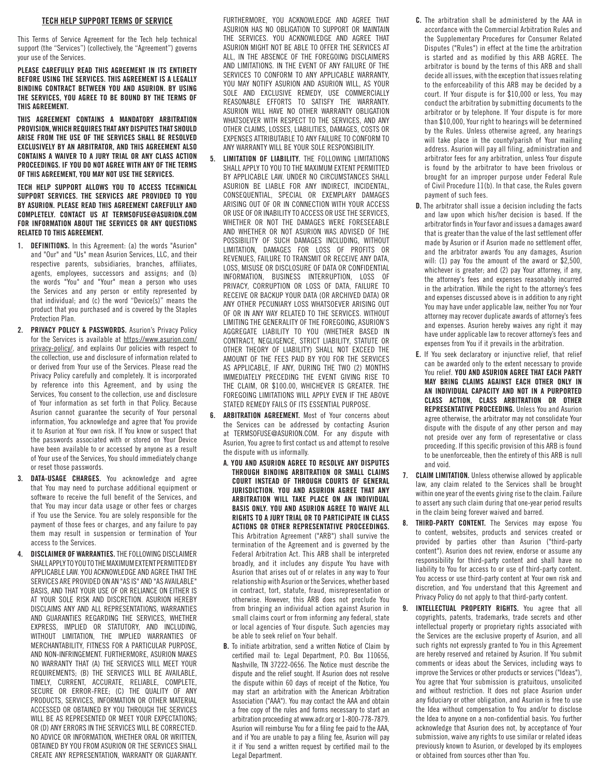#### TECH HELP SUPPORT TERMS OF SERVICE

This Terms of Service Agreement for the Tech help technical support (the "Services") (collectively, the "Agreement") governs your use of the Services.

PLEASE CAREFULLY READ THIS AGREEMENT IN ITS ENTIRETY BEFORE USING THE SERVICES. THIS AGREEMENT IS A LEGALLY BINDING CONTRACT BETWEEN YOU AND ASURION. BY USING THE SERVICES, YOU AGREE TO BE BOUND BY THE TERMS OF THIS AGREEMENT.

THIS AGREEMENT CONTAINS A MANDATORY ARBITRATION PROVISION, WHICH REQUIRES THAT ANY DISPUTES THAT SHOULD ARISE FROM THE USE OF THE SERVICES SHALL BE RESOLVED EXCLUSIVELY BY AN ARBITRATOR, AND THIS AGREEMENT ALSO CONTAINS A WAIVER TO A JURY TRIAL OR ANY CLASS ACTION PROCEEDINGS. IF YOU DO NOT AGREE WITH ANY OF THE TERMS OF THIS AGREEMENT, YOU MAY NOT USE THE SERVICES.

TECH HELP SUPPORT ALLOWS YOU TO ACCESS TECHNICAL SUPPORT SERVICES. THE SERVICES ARE PROVIDED TO YOU BY ASURION. PLEASE READ THIS AGREEMENT CAREFULLY AND COMPLETELY. CONTACT US AT TERMSOFUSE@ASURION.COM FOR INFORMATION ABOUT THE SERVICES OR ANY QUESTIONS RELATED TO THIS AGREEMENT.

- 1. DEFINITIONS. In this Agreement: (a) the words "Asurion" and "Our" and "Us" mean Asurion Services, LLC, and their respective parents, subsidiaries, branches, affiliates, agents, employees, successors and assigns; and (b) the words "You" and "Your" mean a person who uses the Services and any person or entity represented by that individual; and (c) the word "Device(s)" means the product that you purchased and is covered by the Staples Protection Plan.
- 2. PRIVACY POLICY & PASSWORDS. Asurion's Privacy Policy for the Services is available at https://www.asurion.com/ privacy-policy/, and explains Our policies with respect to the collection, use and disclosure of information related to or derived from Your use of the Services. Please read the Privacy Policy carefully and completely. It is incorporated by reference into this Agreement, and by using the Services, You consent to the collection, use and disclosure of Your information as set forth in that Policy. Because Asurion cannot guarantee the security of Your personal information, You acknowledge and agree that You provide it to Asurion at Your own risk. If You know or suspect that the passwords associated with or stored on Your Device have been available to or accessed by anyone as a result of Your use of the Services, You should immediately change or reset those passwords.
- 3. DATA-USAGE CHARGES. You acknowledge and agree that You may need to purchase additional equipment or software to receive the full benefit of the Services, and that You may incur data usage or other fees or charges if You use the Service. You are solely responsible for the payment of those fees or charges, and any failure to pay them may result in suspension or termination of Your access to the Services.
- 4. DISCLAIMER OF WARRANTIES. THE FOLLOWING DISCLAIMER SHALL APPLY TO YOU TO THE MAXIMUM EXTENT PERMITTED BY APPLICABLE LAW. YOU ACKNOWLEDGE AND AGREE THAT THE SERVICES ARE PROVIDED ON AN "AS IS" AND "AS AVAILABLE" BASIS, AND THAT YOUR USE OF OR RELIANCE ON EITHER IS AT YOUR SOLE RISK AND DISCRETION. ASURION HEREBY DISCLAIMS ANY AND ALL REPRESENTATIONS, WARRANTIES AND GUARANTIES REGARDING THE SERVICES, WHETHER EXPRESS, IMPLIED OR STATUTORY, AND INCLUDING, WITHOUT LIMITATION, THE IMPLIED WARRANTIES OF MERCHANTABILITY, FITNESS FOR A PARTICULAR PURPOSE, AND NON-INFRINGEMENT. FURTHERMORE, ASURION MAKES NO WARRANTY THAT (A) THE SERVICES WILL MEET YOUR REQUIREMENTS; (B) THE SERVICES WILL BE AVAILABLE, TIMELY, CURRENT, ACCURATE, RELIABLE, COMPLETE, SECURE OR ERROR-FREE; (C) THE QUALITY OF ANY PRODUCTS, SERVICES, INFORMATION OR OTHER MATERIAL ACCESSED OR OBTAINED BY YOU THROUGH THE SERVICES WILL BE AS REPRESENTED OR MEET YOUR EXPECTATIONS; OR (D) ANY ERRORS IN THE SERVICES WILL BE CORRECTED. NO ADVICE OR INFORMATION, WHETHER ORAL OR WRITTEN, OBTAINED BY YOU FROM ASURION OR THE SERVICES SHALL CREATE ANY REPRESENTATION, WARRANTY OR GUARANTY.

FURTHERMORE, YOU ACKNOWLEDGE AND AGREE THAT ASURION HAS NO OBLIGATION TO SUPPORT OR MAINTAIN THE SERVICES. YOU ACKNOWLEDGE AND AGREE THAT ASURION MIGHT NOT BE ABLE TO OFFER THE SERVICES AT ALL, IN THE ABSENCE OF THE FOREGOING DISCLAIMERS AND LIMITATIONS. IN THE EVENT OF ANY FAILURE OF THE SERVICES TO CONFORM TO ANY APPLICABLE WARRANTY, YOU MAY NOTIFY ASURION AND ASURION WILL, AS YOUR SOLE AND EXCLUSIVE REMEDY, USE COMMERCIALLY REASONABLE EFFORTS TO SATISFY THE WARRANTY. ASURION WILL HAVE NO OTHER WARRANTY OBLIGATION WHATSOEVER WITH RESPECT TO THE SERVICES, AND ANY OTHER CLAIMS, LOSSES, LIABILITIES, DAMAGES, COSTS OR EXPENSES ATTRIBUTABLE TO ANY FAILURE TO CONFORM TO ANY WARRANTY WILL BE YOUR SOLE RESPONSIBILITY.

- 5. LIMITATION OF LIABILITY. THE FOLLOWING LIMITATIONS SHALL APPLY TO YOU TO THE MAXIMUM EXTENT PERMITTED BY APPLICABLE LAW. UNDER NO CIRCUMSTANCES SHALL ASURION BE LIABLE FOR ANY INDIRECT, INCIDENTAL, CONSEQUENTIAL, SPECIAL OR EXEMPLARY DAMAGES ARISING OUT OF OR IN CONNECTION WITH YOUR ACCESS OR USE OF OR INABILITY TO ACCESS OR USE THE SERVICES, WHETHER OR NOT THE DAMAGES WERE FORESEEABLE AND WHETHER OR NOT ASURION WAS ADVISED OF THE POSSIBILITY OF SUCH DAMAGES INCLUDING, WITHOUT LIMITATION, DAMAGES FOR LOSS OF PROFITS OR REVENUES, FAILURE TO TRANSMIT OR RECEIVE ANY DATA, LOSS, MISUSE OR DISCLOSURE OF DATA OR CONFIDENTIAL INFORMATION, BUSINESS INTERRUPTION, LOSS OF PRIVACY, CORRUPTION OR LOSS OF DATA, FAILURE TO RECEIVE OR BACKUP YOUR DATA (OR ARCHIVED DATA) OR ANY OTHER PECUNIARY LOSS WHATSOEVER ARISING OUT OF OR IN ANY WAY RELATED TO THE SERVICES. WITHOUT LIMITING THE GENERALITY OF THE FOREGOING, ASURION'S AGGREGATE LIABILITY TO YOU (WHETHER BASED IN CONTRACT, NEGLIGENCE, STRICT LIABILITY, STATUTE OR OTHER THEORY OF LIABILITY) SHALL NOT EXCEED THE AMOUNT OF THE FEES PAID BY YOU FOR THE SERVICES AS APPLICABLE, IF ANY, DURING THE TWO (2) MONTHS IMMEDIATELY PRECEDING THE EVENT GIVING RISE TO THE CLAIM, OR \$100.00, WHICHEVER IS GREATER. THE FOREGOING LIMITATIONS WILL APPLY EVEN IF THE ABOVE STATED REMEDY FAILS OF ITS ESSENTIAL PURPOSE.
- 6. ARBITRATION AGREEMENT. Most of Your concerns about the Services can be addressed by contacting Asurion at TERMSOFUSE@ASURION.COM. For any dispute with Asurion, You agree to first contact us and attempt to resolve the dispute with us informally.
	- A. YOU AND ASURION AGREE TO RESOLVE ANY DISPUTES THROUGH BINDING ARBITRATION OR SMALL CLAIMS COURT INSTEAD OF THROUGH COURTS OF GENERAL JURISDICTION. YOU AND ASURION AGREE THAT ANY ARBITRATION WILL TAKE PLACE ON AN INDIVIDUAL BASIS ONLY. YOU AND ASURION AGREE TO WAIVE ALL RIGHTS TO A JURY TRIAL OR TO PARTICIPATE IN CLASS ACTIONS OR OTHER REPRESENTATIVE PROCEEDINGS. This Arbitration Agreement ("ARB") shall survive the termination of the Agreement and is governed by the Federal Arbitration Act. This ARB shall be interpreted broadly, and it includes any dispute You have with Asurion that arises out of or relates in any way to Your relationship with Asurion or the Services, whether based in contract, tort, statute, fraud, misrepresentation or otherwise. However, this ARB does not preclude You from bringing an individual action against Asurion in small claims court or from informing any federal, state or local agencies of Your dispute. Such agencies may be able to seek relief on Your behalf.
	- B. To initiate arbitration, send a written Notice of Claim by certified mail to: Legal Department, P.O. Box 110656, Nashville, TN 37222-0656. The Notice must describe the dispute and the relief sought. If Asurion does not resolve the dispute within 60 days of receipt of the Notice, You may start an arbitration with the American Arbitration Association ("AAA"). You may contact the AAA and obtain a free copy of the rules and forms necessary to start an arbitration proceeding at www.adr.org or 1-800-778-7879. Asurion will reimburse You for a filing fee paid to the AAA, and if You are unable to pay a filing fee, Asurion will pay it if You send a written request by certified mail to the Legal Department.
- C. The arbitration shall be administered by the AAA in accordance with the Commercial Arbitration Rules and the Supplementary Procedures for Consumer Related Disputes ("Rules") in effect at the time the arbitration is started and as modified by this ARB AGREE. The arbitrator is bound by the terms of this ARB and shall decide all issues, with the exception that issues relating to the enforceability of this ARB may be decided by a court. If Your dispute is for \$10,000 or less, You may conduct the arbitration by submitting documents to the arbitrator or by telephone. If Your dispute is for more than \$10,000, Your right to hearings will be determined by the Rules. Unless otherwise agreed, any hearings will take place in the county/parish of Your mailing address. Asurion will pay all filing, administration and arbitrator fees for any arbitration, unless Your dispute is found by the arbitrator to have been frivolous or brought for an improper purpose under Federal Rule of Civil Procedure 11(b). In that case, the Rules govern payment of such fees.
- D. The arbitrator shall issue a decision including the facts and law upon which his/her decision is based. If the arbitrator finds in Your favor and issues a damages award that is greater than the value of the last settlement offer made by Asurion or if Asurion made no settlement offer, and the arbitrator awards You any damages, Asurion will: (1) pay You the amount of the award or \$2,500, whichever is greater; and (2) pay Your attorney, if any, the attorney's fees and expenses reasonably incurred in the arbitration. While the right to the attorney's fees and expenses discussed above is in addition to any right You may have under applicable law, neither You nor Your attorney may recover duplicate awards of attorney's fees and expenses. Asurion hereby waives any right it may have under applicable law to recover attorney's fees and expenses from You if it prevails in the arbitration.
- E. If You seek declaratory or injunctive relief, that relief can be awarded only to the extent necessary to provide You relief. YOU AND ASURION AGREE THAT EACH PARTY MAY BRING CLAIMS AGAINST EACH OTHER ONLY IN AN INDIVIDUAL CAPACITY AND NOT IN A PURPORTED CLASS ACTION, CLASS ARBITRATION OR OTHER REPRESENTATIVE PROCEEDING. Unless You and Asurion agree otherwise, the arbitrator may not consolidate Your dispute with the dispute of any other person and may not preside over any form of representative or class proceeding. If this specific provision of this ARB is found to be unenforceable, then the entirety of this ARB is null and void.
- 7. CLAIM LIMITATION. Unless otherwise allowed by applicable law, any claim related to the Services shall be brought within one year of the events giving rise to the claim. Failure to assert any such claim during that one-year period results in the claim being forever waived and barred.
- 8. THIRD-PARTY CONTENT. The Services may expose You to content, websites, products and services created or provided by parties other than Asurion ("third-party content"). Asurion does not review, endorse or assume any responsibility for third-party content and shall have no liability to You for access to or use of third-party content. You access or use third-party content at Your own risk and discretion, and You understand that this Agreement and Privacy Policy do not apply to that third-party content.
- 9. **INTELLECTUAL PROPERTY RIGHTS.** You agree that all copyrights, patents, trademarks, trade secrets and other intellectual property or proprietary rights associated with the Services are the exclusive property of Asurion, and all such rights not expressly granted to You in this Agreement are hereby reserved and retained by Asurion. If You submit comments or ideas about the Services, including ways to improve the Services or other products or services ("Ideas"), You agree that Your submission is gratuitous, unsolicited and without restriction. It does not place Asurion under any fiduciary or other obligation, and Asurion is free to use the Idea without compensation to You and/or to disclose the Idea to anyone on a non-confidential basis. You further acknowledge that Asurion does not, by acceptance of Your submission, waive any rights to use similar or related ideas previously known to Asurion, or developed by its employees or obtained from sources other than You.